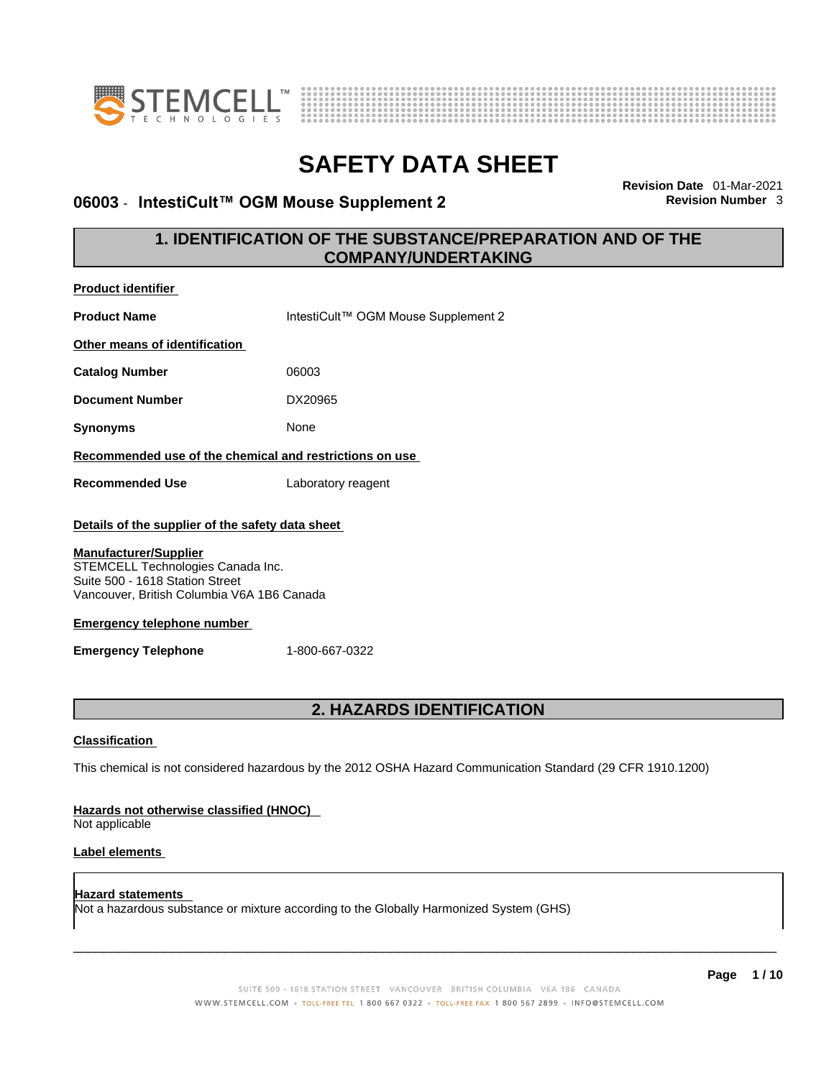



## **06003 ⋅ IntestiCult™ OGM Mouse Supplement 2**

**Revision Date** 01-Mar-2021

## **1. IDENTIFICATION OF THE SUBSTANCE/PREPARATION AND OF THE COMPANY/UNDERTAKING**

| <b>Product identifier</b>                                                                                                                          |                                                                                                             |
|----------------------------------------------------------------------------------------------------------------------------------------------------|-------------------------------------------------------------------------------------------------------------|
| <b>Product Name</b>                                                                                                                                | IntestiCult™ OGM Mouse Supplement 2                                                                         |
| Other means of identification                                                                                                                      |                                                                                                             |
| <b>Catalog Number</b>                                                                                                                              | 06003                                                                                                       |
| <b>Document Number</b>                                                                                                                             | DX20965                                                                                                     |
| <b>Synonyms</b>                                                                                                                                    | None                                                                                                        |
| Recommended use of the chemical and restrictions on use                                                                                            |                                                                                                             |
| <b>Recommended Use</b>                                                                                                                             | Laboratory reagent                                                                                          |
| Details of the supplier of the safety data sheet                                                                                                   |                                                                                                             |
| <b>Manufacturer/Supplier</b><br>STEMCELL Technologies Canada Inc.<br>Suite 500 - 1618 Station Street<br>Vancouver, British Columbia V6A 1B6 Canada |                                                                                                             |
| <b>Emergency telephone number</b>                                                                                                                  |                                                                                                             |
| <b>Emergency Telephone</b>                                                                                                                         | 1-800-667-0322                                                                                              |
|                                                                                                                                                    | <b>2. HAZARDS IDENTIFICATION</b>                                                                            |
|                                                                                                                                                    |                                                                                                             |
| <b>Classification</b>                                                                                                                              |                                                                                                             |
|                                                                                                                                                    | This chemical is not considered hazardous by the 2012 OSHA Hazard Communication Standard (29 CFR 1910.1200) |
| Hazards not otherwise classified (HNOC)<br>Not applicable                                                                                          |                                                                                                             |
| Label elements                                                                                                                                     |                                                                                                             |
| <b>Hazard statements</b>                                                                                                                           | Not a hazardous substance or mixture according to the Globally Harmonized System (GHS)                      |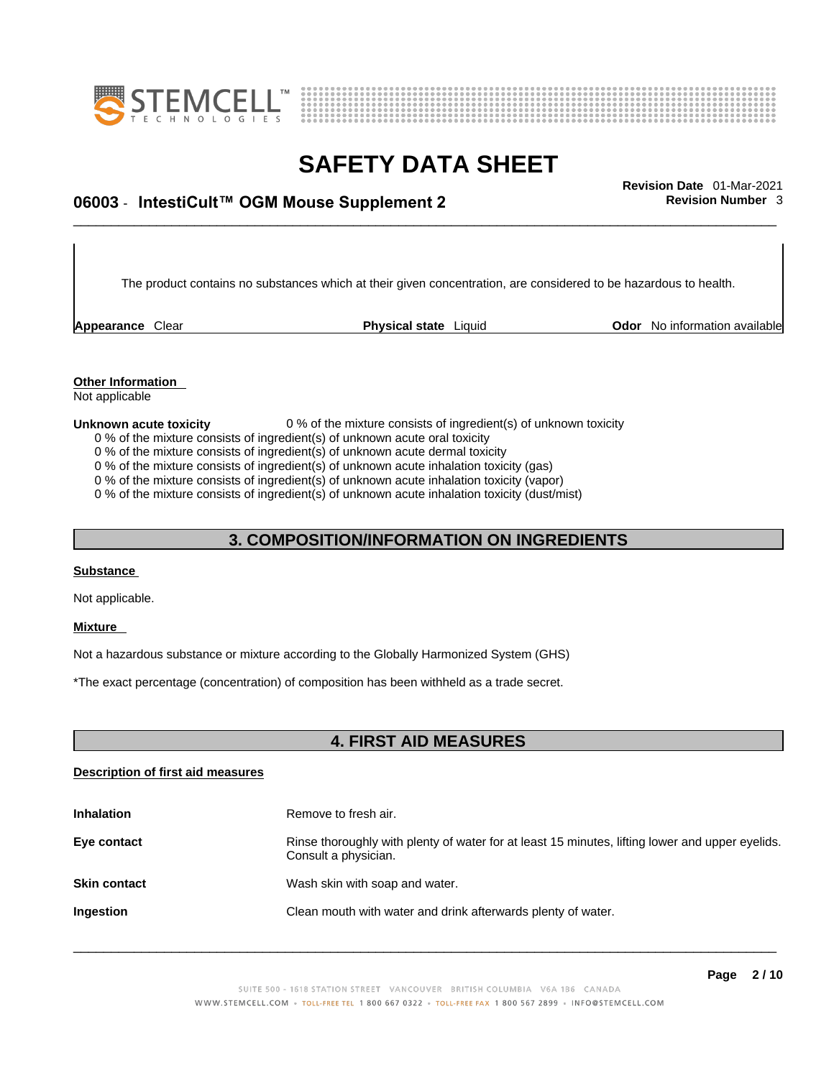



# \_\_\_\_\_\_\_\_\_\_\_\_\_\_\_\_\_\_\_\_\_\_\_\_\_\_\_\_\_\_\_\_\_\_\_\_\_\_\_\_\_\_\_\_\_\_\_\_\_\_\_\_\_\_\_\_\_\_\_\_\_\_\_\_\_\_\_\_\_\_\_\_\_\_\_\_\_\_\_\_\_\_\_\_\_\_\_\_\_\_\_\_\_ **Revision Date** 01-Mar-2021 **06003** - **IntestiCult™ OGM Mouse Supplement 2 Revision Number** 3

The product contains no substances which at their given concentration, are considered to be hazardous to health.

**Appearance** Clear **Physical state** Liquid

**Odor** No information available

**Other Information**  Not applicable

**Unknown acute toxicity** 0 % of the mixture consists of ingredient(s) of unknown toxicity

- 0 % of the mixture consists of ingredient(s) of unknown acute oral toxicity
- 0 % of the mixture consists of ingredient(s) of unknown acute dermal toxicity

0 % of the mixture consists of ingredient(s) of unknown acute inhalation toxicity (gas)

0 % of the mixture consists of ingredient(s) of unknown acute inhalation toxicity (vapor)

0 % of the mixture consists of ingredient(s) of unknown acute inhalation toxicity (dust/mist)

## **3. COMPOSITION/INFORMATION ON INGREDIENTS**

#### **Substance**

Not applicable.

#### **Mixture**

Not a hazardous substance or mixture according to the Globally Harmonized System (GHS)

\*The exact percentage (concentration) of composition has been withheld as a trade secret.

## **4. FIRST AID MEASURES**

#### **Description of first aid measures**

| <b>Inhalation</b>   | Remove to fresh air.                                                                                                    |
|---------------------|-------------------------------------------------------------------------------------------------------------------------|
| Eye contact         | Rinse thoroughly with plenty of water for at least 15 minutes, lifting lower and upper eyelids.<br>Consult a physician. |
| <b>Skin contact</b> | Wash skin with soap and water.                                                                                          |
| Ingestion           | Clean mouth with water and drink afterwards plenty of water.                                                            |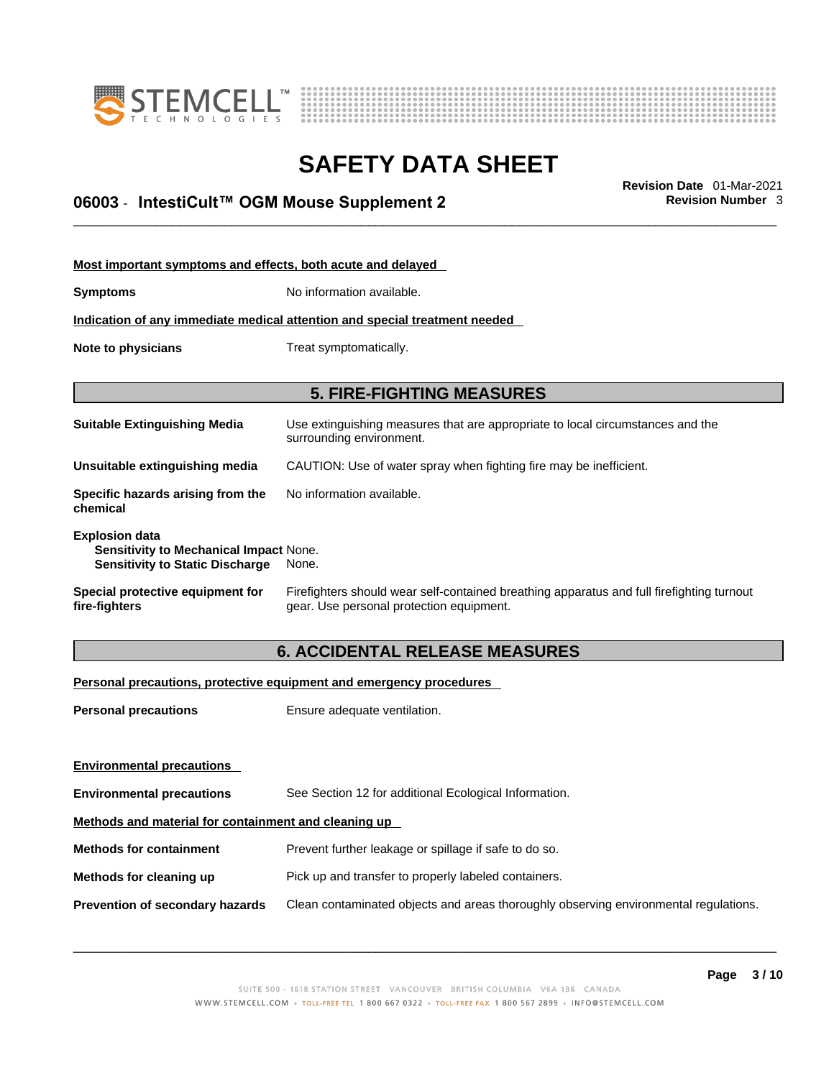



# \_\_\_\_\_\_\_\_\_\_\_\_\_\_\_\_\_\_\_\_\_\_\_\_\_\_\_\_\_\_\_\_\_\_\_\_\_\_\_\_\_\_\_\_\_\_\_\_\_\_\_\_\_\_\_\_\_\_\_\_\_\_\_\_\_\_\_\_\_\_\_\_\_\_\_\_\_\_\_\_\_\_\_\_\_\_\_\_\_\_\_\_\_ **Revision Date** 01-Mar-2021 **06003** - **IntestiCult™ OGM Mouse Supplement 2 Revision Number** 3

| Most important symptoms and effects, both acute and delayed                                                      |                                                                                                                                       |
|------------------------------------------------------------------------------------------------------------------|---------------------------------------------------------------------------------------------------------------------------------------|
| <b>Symptoms</b>                                                                                                  | No information available.                                                                                                             |
|                                                                                                                  | Indication of any immediate medical attention and special treatment needed                                                            |
| Note to physicians                                                                                               | Treat symptomatically.                                                                                                                |
|                                                                                                                  |                                                                                                                                       |
|                                                                                                                  | <b>5. FIRE-FIGHTING MEASURES</b>                                                                                                      |
| <b>Suitable Extinguishing Media</b>                                                                              | Use extinguishing measures that are appropriate to local circumstances and the<br>surrounding environment.                            |
| Unsuitable extinguishing media                                                                                   | CAUTION: Use of water spray when fighting fire may be inefficient.                                                                    |
| Specific hazards arising from the<br>chemical                                                                    | No information available.                                                                                                             |
| <b>Explosion data</b><br><b>Sensitivity to Mechanical Impact None.</b><br><b>Sensitivity to Static Discharge</b> | None.                                                                                                                                 |
| Special protective equipment for<br>fire-fighters                                                                | Firefighters should wear self-contained breathing apparatus and full firefighting turnout<br>gear. Use personal protection equipment. |

## **6. ACCIDENTAL RELEASE MEASURES**

#### **Personal precautions, protective equipment and emergency procedures**

| <b>Personal precautions</b>                          | Ensure adequate ventilation.                                                         |  |
|------------------------------------------------------|--------------------------------------------------------------------------------------|--|
| <b>Environmental precautions</b>                     |                                                                                      |  |
| <b>Environmental precautions</b>                     | See Section 12 for additional Ecological Information.                                |  |
| Methods and material for containment and cleaning up |                                                                                      |  |
| <b>Methods for containment</b>                       | Prevent further leakage or spillage if safe to do so.                                |  |
| Methods for cleaning up                              | Pick up and transfer to properly labeled containers.                                 |  |
| <b>Prevention of secondary hazards</b>               | Clean contaminated objects and areas thoroughly observing environmental regulations. |  |
|                                                      |                                                                                      |  |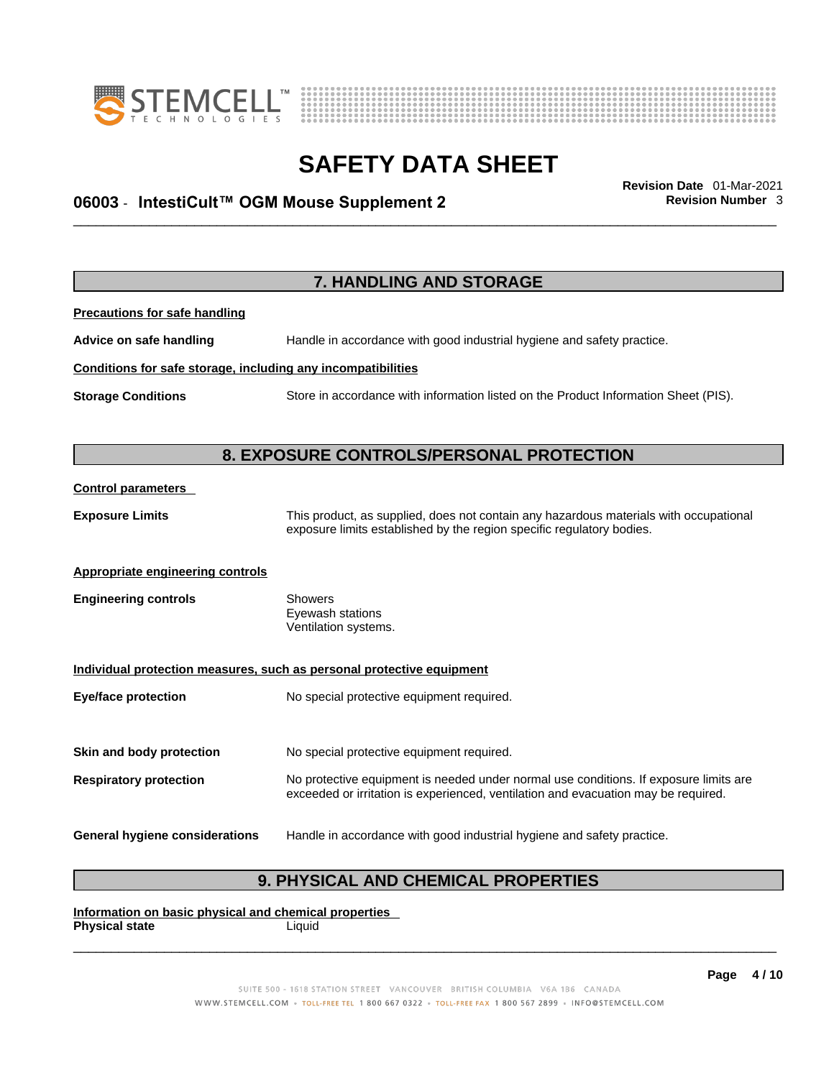



# \_\_\_\_\_\_\_\_\_\_\_\_\_\_\_\_\_\_\_\_\_\_\_\_\_\_\_\_\_\_\_\_\_\_\_\_\_\_\_\_\_\_\_\_\_\_\_\_\_\_\_\_\_\_\_\_\_\_\_\_\_\_\_\_\_\_\_\_\_\_\_\_\_\_\_\_\_\_\_\_\_\_\_\_\_\_\_\_\_\_\_\_\_ **Revision Date** 01-Mar-2021 **06003** - **IntestiCult™ OGM Mouse Supplement 2 Revision Number** 3

**7. HANDLING AND STORAGE Precautions for safe handling Advice on safe handling** Handle in accordance with good industrial hygiene and safety practice. **Conditions for safe storage, including any incompatibilities Storage Conditions** Store in accordance with information listed on the Product Information Sheet (PIS). **8. EXPOSURE CONTROLS/PERSONAL PROTECTION Control parameters Exposure Limits** This product, as supplied, does not contain any hazardous materials with occupational exposure limits established by the region specific regulatory bodies. **Appropriate engineering controls Engineering controls** Showers Eyewash stations Ventilation systems. **Individual protection measures, such as personal protective equipment Eye/face protection** No special protective equipment required. **Skin and body protection** No special protective equipment required. **Respiratory protection** No protective equipment is needed under normal use conditions. If exposure limits are exceeded or irritation is experienced, ventilation and evacuation may be required. **General hygiene considerations** Handle in accordance with good industrial hygiene and safety practice.

## **9. PHYSICAL AND CHEMICAL PROPERTIES**

**Information on basic physical and chemical properties Physical state** Liquid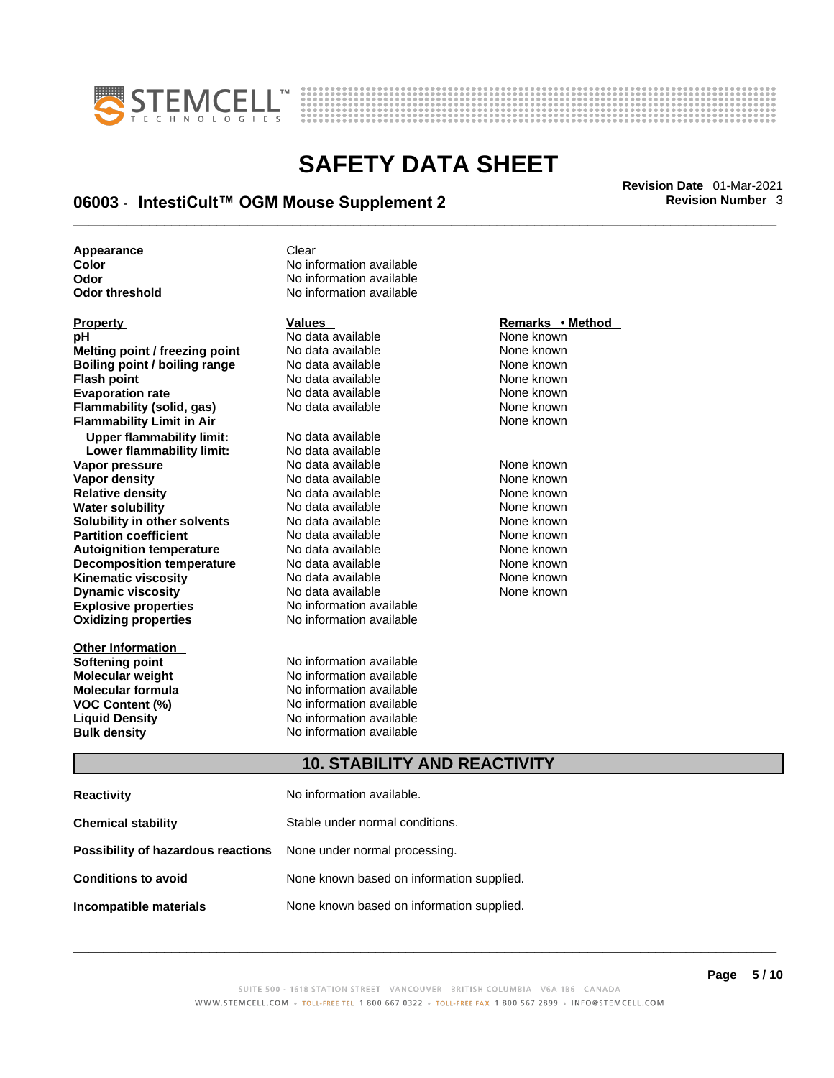



# \_\_\_\_\_\_\_\_\_\_\_\_\_\_\_\_\_\_\_\_\_\_\_\_\_\_\_\_\_\_\_\_\_\_\_\_\_\_\_\_\_\_\_\_\_\_\_\_\_\_\_\_\_\_\_\_\_\_\_\_\_\_\_\_\_\_\_\_\_\_\_\_\_\_\_\_\_\_\_\_\_\_\_\_\_\_\_\_\_\_\_\_\_ **Revision Date** 01-Mar-2021 **06003** - **IntestiCult™ OGM Mouse Supplement 2 Revision Number** 3

**Appearance Clear** 

| гторену                          |   |
|----------------------------------|---|
| рH                               | N |
| Melting point / freezing point   | Ν |
| Boiling point / boiling range    | Ν |
| <b>Flash point</b>               | Ν |
| <b>Evaporation rate</b>          | Ν |
| Flammability (solid, gas)        | Ν |
| <b>Flammability Limit in Air</b> |   |
| <b>Upper flammability limit:</b> | Ν |
| Lower flammability limit:        | Ν |
| Vapor pressure                   | Ν |
| Vapor density                    | Ν |
| <b>Relative density</b>          | Ν |
| <b>Water solubility</b>          | Ν |
| Solubility in other solvents     | Ν |
| <b>Partition coefficient</b>     | Ν |
| <b>Autoignition temperature</b>  | Ν |
| <b>Decomposition temperature</b> | Ν |
| <b>Kinematic viscosity</b>       | Ν |
| <b>Dynamic viscosity</b>         | Ν |
| <b>Explosive properties</b>      | Ν |
| <b>Oxidizing properties</b>      | Ν |
| <b>Other Information</b>         |   |

**Color 2008** No information available<br> **Odor** No information available<br>
No information available **Odor No information available**<br> **Odor threshold No information available No information available** 

**Explosive properties** No information available **Oxidizing properties** No information available **Prophendical Analysis of Albert Andrews**<br>No data available None known **Melting point / freezing point** No data available None known **Boiling point / boiling range** No data available None known **Flash point** No data available None known **Francisc Available Mone known**<br>**Redistance in the Available None known Flammability (solid, gas)** No data available None known **Upper flammability limit:** No data available **Lower flammability limit:** No data available **Vo data available None known<br>No data available None known Vo data available None known<br>No data available None known Relative** Available **No data available None known Solution Colubility in** *solution* and *solvents* None known **Partition Partition Coefficient** Coefficient **Roberts** None known **Autoignition temperature** No data available None known **No data available Kingmatical Americans** Avis None known **Dynamics** None known None known

**Softening point**<br> **Molecular weight**<br> **Molecular weight**<br> **Molecular weight**<br> **Molecular weight No information available Molecular formula** No information available **VOC Content (%)**<br>
Liquid Density<br>
No information available<br>
No information available **No information available Bulk density No information available** 

### **Property CONSIDERENT VALUES PROPERTY Remarks • Method**

**Flammability Limit in Air** None known

## **10. STABILITY AND REACTIVITY**

| <b>Reactivity</b>                                                       | No information available.                 |
|-------------------------------------------------------------------------|-------------------------------------------|
| <b>Chemical stability</b>                                               | Stable under normal conditions.           |
| <b>Possibility of hazardous reactions</b> None under normal processing. |                                           |
| <b>Conditions to avoid</b>                                              | None known based on information supplied. |
| Incompatible materials                                                  | None known based on information supplied. |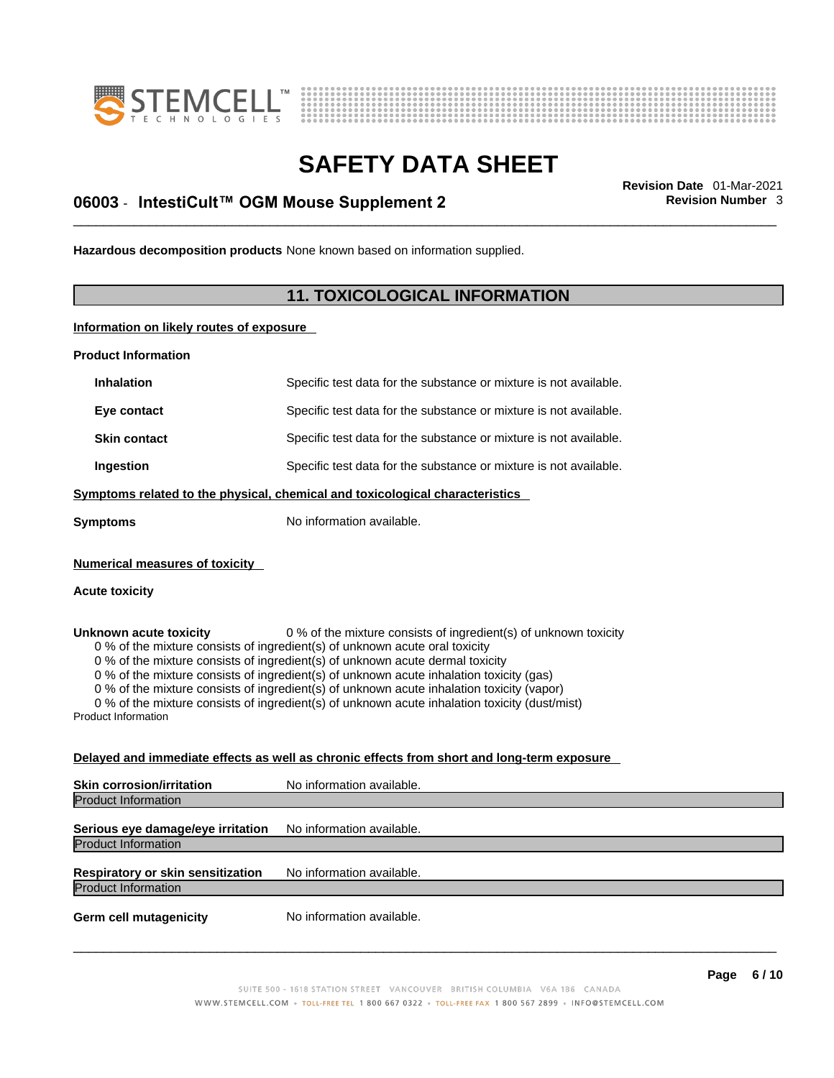



# \_\_\_\_\_\_\_\_\_\_\_\_\_\_\_\_\_\_\_\_\_\_\_\_\_\_\_\_\_\_\_\_\_\_\_\_\_\_\_\_\_\_\_\_\_\_\_\_\_\_\_\_\_\_\_\_\_\_\_\_\_\_\_\_\_\_\_\_\_\_\_\_\_\_\_\_\_\_\_\_\_\_\_\_\_\_\_\_\_\_\_\_\_ **Revision Date** 01-Mar-2021 **06003** - **IntestiCult™ OGM Mouse Supplement 2 Revision Number** 3

**Hazardous decomposition products** None known based on information supplied.

## **11. TOXICOLOGICAL INFORMATION**

**Information on likely routes of exposure**

**Product Information**

| Specific test data for the substance or mixture is not available.                                                                                                                                                                                                                                                                                                                                                                                                                                                                                                                                                       |
|-------------------------------------------------------------------------------------------------------------------------------------------------------------------------------------------------------------------------------------------------------------------------------------------------------------------------------------------------------------------------------------------------------------------------------------------------------------------------------------------------------------------------------------------------------------------------------------------------------------------------|
| Specific test data for the substance or mixture is not available.                                                                                                                                                                                                                                                                                                                                                                                                                                                                                                                                                       |
| Specific test data for the substance or mixture is not available.                                                                                                                                                                                                                                                                                                                                                                                                                                                                                                                                                       |
| Specific test data for the substance or mixture is not available.                                                                                                                                                                                                                                                                                                                                                                                                                                                                                                                                                       |
| Symptoms related to the physical, chemical and toxicological characteristics                                                                                                                                                                                                                                                                                                                                                                                                                                                                                                                                            |
| No information available.                                                                                                                                                                                                                                                                                                                                                                                                                                                                                                                                                                                               |
|                                                                                                                                                                                                                                                                                                                                                                                                                                                                                                                                                                                                                         |
| 0 % of the mixture consists of ingredient(s) of unknown toxicity<br>0 % of the mixture consists of ingredient(s) of unknown acute oral toxicity<br>0 % of the mixture consists of ingredient(s) of unknown acute dermal toxicity<br>0 % of the mixture consists of ingredient(s) of unknown acute inhalation toxicity (gas)<br>0 % of the mixture consists of ingredient(s) of unknown acute inhalation toxicity (vapor)<br>0 % of the mixture consists of ingredient(s) of unknown acute inhalation toxicity (dust/mist)<br>Delayed and immediate effects as well as chronic effects from short and long-term exposure |
|                                                                                                                                                                                                                                                                                                                                                                                                                                                                                                                                                                                                                         |

| <b>Skin corrosion/irritation</b>                                | No information available. |
|-----------------------------------------------------------------|---------------------------|
| <b>Product Information</b>                                      |                           |
| Serious eye damage/eye irritation<br><b>Product Information</b> | No information available. |
| Respiratory or skin sensitization<br><b>Product Information</b> | No information available. |
| <b>Germ cell mutagenicity</b>                                   | No information available. |
|                                                                 |                           |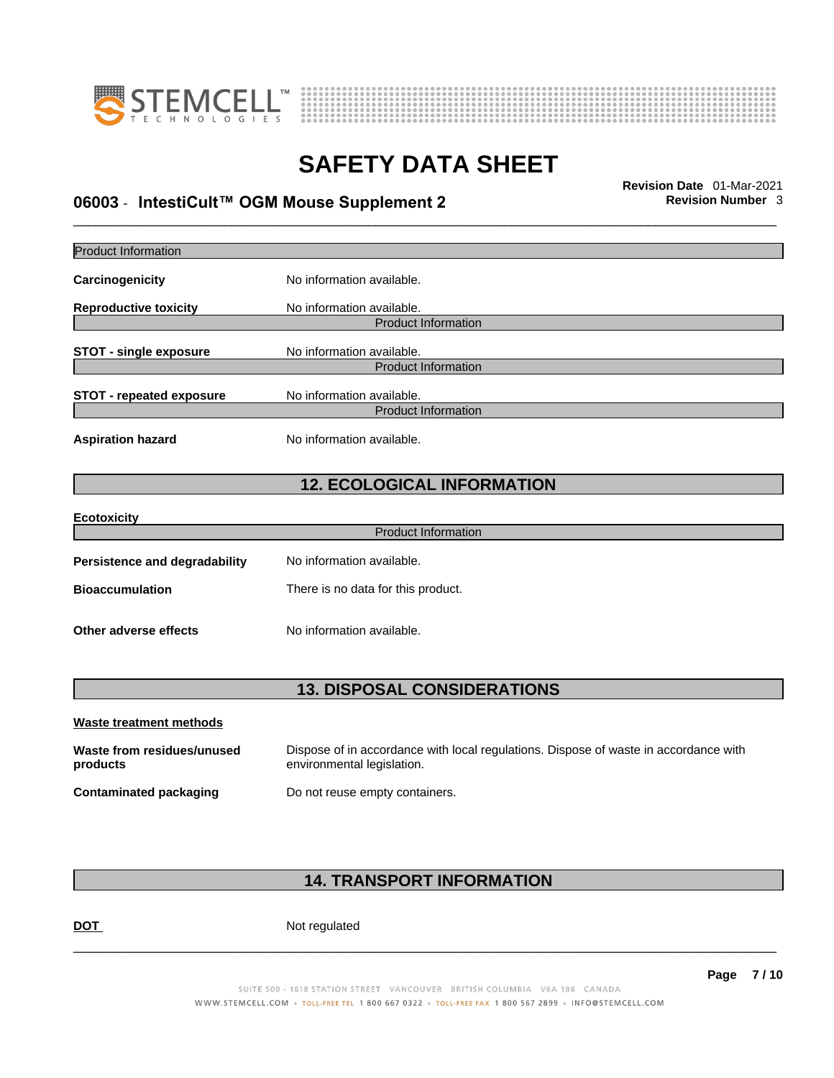



# \_\_\_\_\_\_\_\_\_\_\_\_\_\_\_\_\_\_\_\_\_\_\_\_\_\_\_\_\_\_\_\_\_\_\_\_\_\_\_\_\_\_\_\_\_\_\_\_\_\_\_\_\_\_\_\_\_\_\_\_\_\_\_\_\_\_\_\_\_\_\_\_\_\_\_\_\_\_\_\_\_\_\_\_\_\_\_\_\_\_\_\_\_ **Revision Date** 01-Mar-2021 **06003** - **IntestiCult™ OGM Mouse Supplement 2 Revision Number** 3

| Product Information                    |                                                                                                                    |
|----------------------------------------|--------------------------------------------------------------------------------------------------------------------|
| Carcinogenicity                        | No information available.                                                                                          |
| <b>Reproductive toxicity</b>           | No information available.                                                                                          |
|                                        | <b>Product Information</b>                                                                                         |
| <b>STOT - single exposure</b>          | No information available.                                                                                          |
|                                        | <b>Product Information</b>                                                                                         |
| <b>STOT - repeated exposure</b>        | No information available.                                                                                          |
|                                        | <b>Product Information</b>                                                                                         |
| <b>Aspiration hazard</b>               | No information available.                                                                                          |
|                                        | <b>12. ECOLOGICAL INFORMATION</b>                                                                                  |
| <b>Ecotoxicity</b>                     |                                                                                                                    |
|                                        | <b>Product Information</b>                                                                                         |
| <b>Persistence and degradability</b>   | No information available.                                                                                          |
| <b>Bioaccumulation</b>                 | There is no data for this product.                                                                                 |
| Other adverse effects                  | No information available.                                                                                          |
|                                        | <b>13. DISPOSAL CONSIDERATIONS</b>                                                                                 |
|                                        |                                                                                                                    |
| <b>Waste treatment methods</b>         |                                                                                                                    |
| Waste from residues/unused<br>products | Dispose of in accordance with local regulations. Dispose of waste in accordance with<br>environmental legislation. |
| <b>Contaminated packaging</b>          | Do not reuse empty containers.                                                                                     |
|                                        |                                                                                                                    |

## **14. TRANSPORT INFORMATION**

DOT Not regulated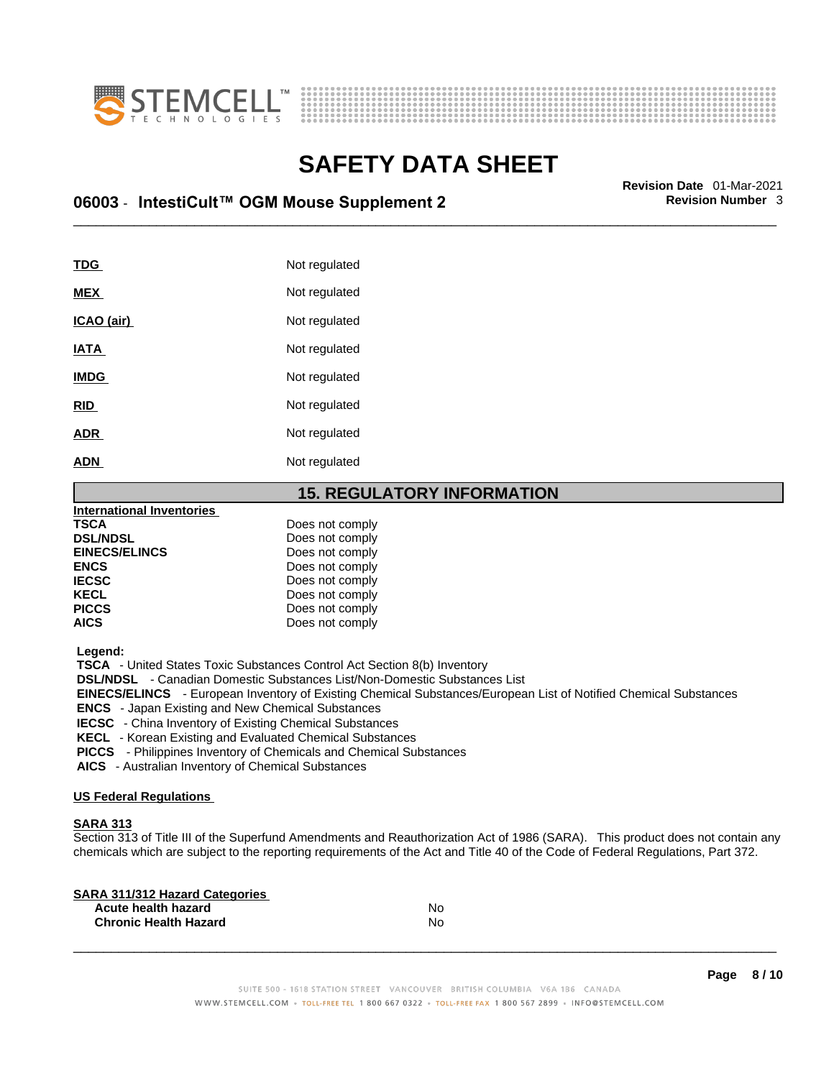



# \_\_\_\_\_\_\_\_\_\_\_\_\_\_\_\_\_\_\_\_\_\_\_\_\_\_\_\_\_\_\_\_\_\_\_\_\_\_\_\_\_\_\_\_\_\_\_\_\_\_\_\_\_\_\_\_\_\_\_\_\_\_\_\_\_\_\_\_\_\_\_\_\_\_\_\_\_\_\_\_\_\_\_\_\_\_\_\_\_\_\_\_\_ **Revision Date** 01-Mar-2021 **06003** - **IntestiCult™ OGM Mouse Supplement 2 Revision Number** 3

| TDG         | Not regulated |
|-------------|---------------|
| <b>MEX</b>  | Not regulated |
| ICAO (air)  | Not regulated |
| <b>IATA</b> | Not regulated |
| <b>IMDG</b> | Not regulated |
| <b>RID</b>  | Not regulated |
| <b>ADR</b>  | Not regulated |
| <b>ADN</b>  | Not regulated |
|             |               |

### **15. REGULATORY INFORMATION**

| <b>International Inventories</b> |                 |  |
|----------------------------------|-----------------|--|
| <b>TSCA</b>                      | Does not comply |  |
| <b>DSL/NDSL</b>                  | Does not comply |  |
| <b>EINECS/ELINCS</b>             | Does not comply |  |
| <b>ENCS</b>                      | Does not comply |  |
| <b>IECSC</b>                     | Does not comply |  |
| <b>KECL</b>                      | Does not comply |  |
| <b>PICCS</b>                     | Does not comply |  |
| <b>AICS</b>                      | Does not comply |  |
|                                  |                 |  |

 **Legend:** 

 **TSCA** - United States Toxic Substances Control Act Section 8(b) Inventory

 **DSL/NDSL** - Canadian Domestic Substances List/Non-Domestic Substances List

 **EINECS/ELINCS** - European Inventory of Existing Chemical Substances/European List of Notified Chemical Substances

 **ENCS** - Japan Existing and New Chemical Substances

 **IECSC** - China Inventory of Existing Chemical Substances

 **KECL** - Korean Existing and Evaluated Chemical Substances

 **PICCS** - Philippines Inventory of Chemicals and Chemical Substances

 **AICS** - Australian Inventory of Chemical Substances

#### **US Federal Regulations**

#### **SARA 313**

Section 313 of Title III of the Superfund Amendments and Reauthorization Act of 1986 (SARA). This product does not contain any chemicals which are subject to the reporting requirements of the Act and Title 40 of the Code of Federal Regulations, Part 372.

| No |  |
|----|--|
| No |  |
|    |  |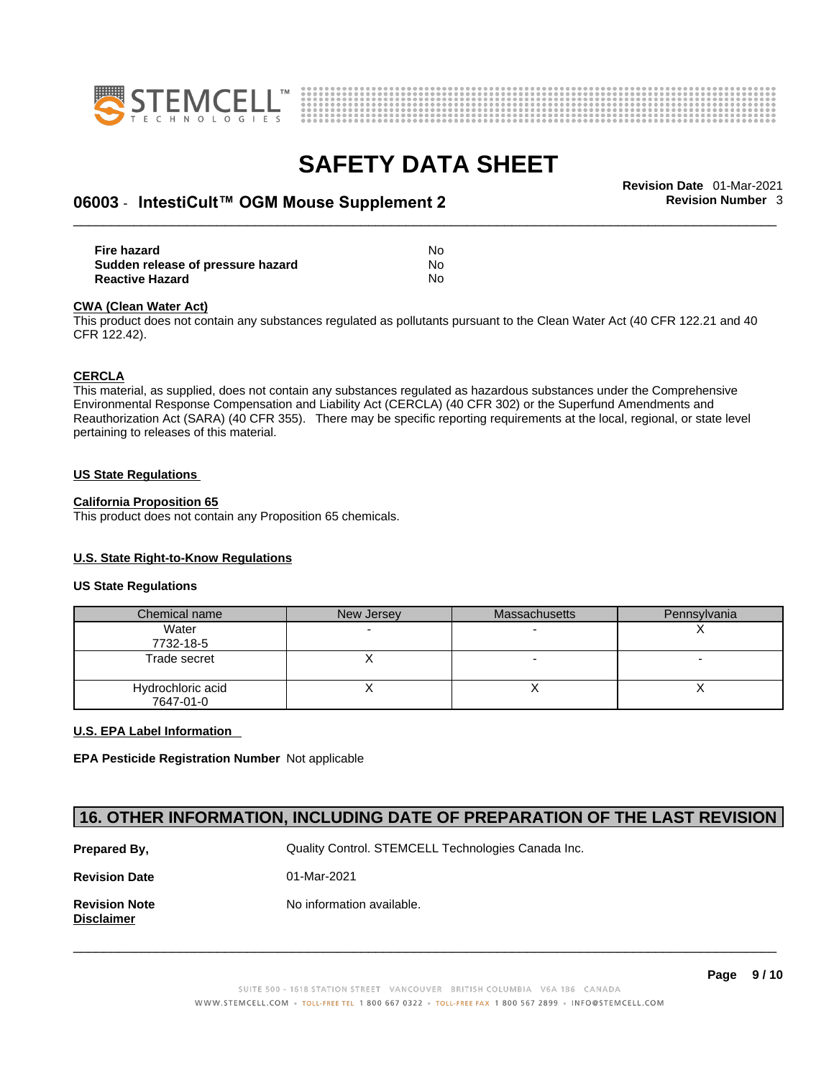



# \_\_\_\_\_\_\_\_\_\_\_\_\_\_\_\_\_\_\_\_\_\_\_\_\_\_\_\_\_\_\_\_\_\_\_\_\_\_\_\_\_\_\_\_\_\_\_\_\_\_\_\_\_\_\_\_\_\_\_\_\_\_\_\_\_\_\_\_\_\_\_\_\_\_\_\_\_\_\_\_\_\_\_\_\_\_\_\_\_\_\_\_\_ **Revision Date** 01-Mar-2021 **06003** - **IntestiCult™ OGM Mouse Supplement 2 Revision Number** 3

| <b>Fire hazard</b>                | No |
|-----------------------------------|----|
| Sudden release of pressure hazard | No |
| <b>Reactive Hazard</b>            | No |

#### **CWA (Clean WaterAct)**

This product does not contain any substances regulated as pollutants pursuant to the Clean Water Act (40 CFR 122.21 and 40 CFR 122.42).

#### **CERCLA**

This material, as supplied, does not contain any substances regulated as hazardous substances under the Comprehensive Environmental Response Compensation and Liability Act (CERCLA) (40 CFR 302) or the Superfund Amendments and Reauthorization Act (SARA) (40 CFR 355). There may be specific reporting requirements at the local, regional, or state level pertaining to releases of this material.

#### **US State Regulations**

#### **California Proposition 65**

This product does not contain any Proposition 65 chemicals.

#### **U.S. State Right-to-Know Regulations**

#### **US State Regulations**

| Chemical name                  | New Jersey | <b>Massachusetts</b> | Pennsylvania |
|--------------------------------|------------|----------------------|--------------|
| Water<br>7732-18-5             |            |                      |              |
| Trade secret                   |            |                      |              |
| Hydrochloric acid<br>7647-01-0 |            |                      |              |

#### **U.S. EPA Label Information**

**EPA Pesticide Registration Number** Not applicable

### **16. OTHER INFORMATION, INCLUDING DATE OF PREPARATION OF THE LAST REVISION**

| Prepared By,                       | Quality Control. STEMCELL Technologies Canada Inc. |
|------------------------------------|----------------------------------------------------|
| <b>Revision Date</b>               | 01-Mar-2021                                        |
| <b>Revision Note</b><br>Disclaimer | No information available.                          |